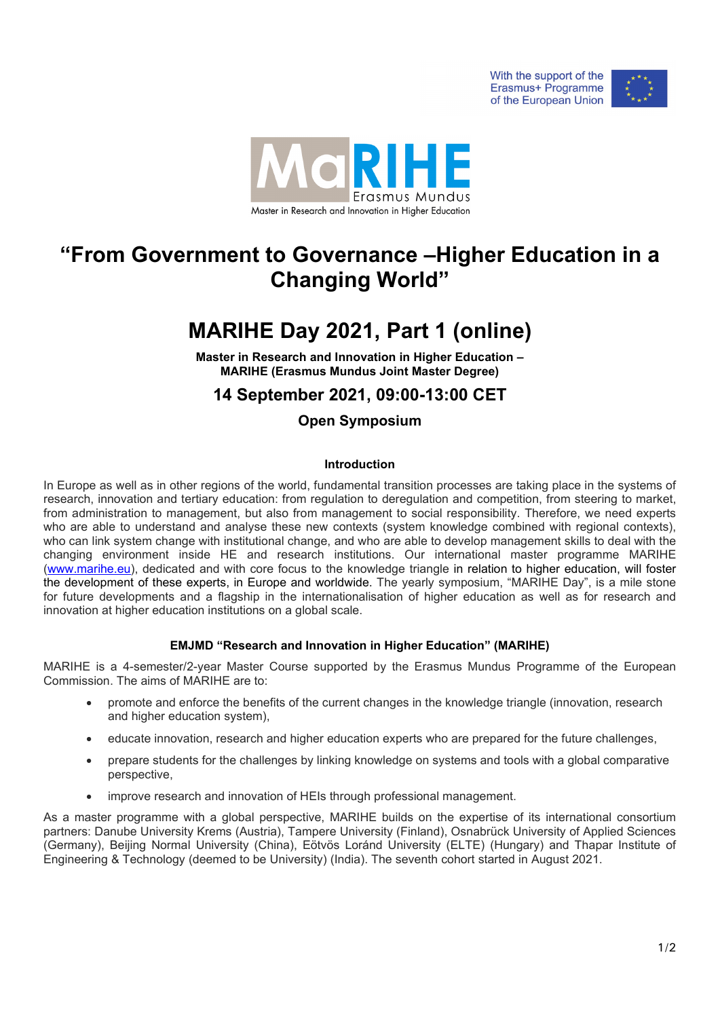



# **"From Government to Governance –Higher Education in a Changing World"**

# **MARIHE Day 2021, Part 1 (online)**

**Master in Research and Innovation in Higher Education – MARIHE (Erasmus Mundus Joint Master Degree)**

## **14 September 2021, 09:00-13:00 CET**

### **Open Symposium**

#### **Introduction**

In Europe as well as in other regions of the world, fundamental transition processes are taking place in the systems of research, innovation and tertiary education: from regulation to deregulation and competition, from steering to market, from administration to management, but also from management to social responsibility. Therefore, we need experts who are able to understand and analyse these new contexts (system knowledge combined with regional contexts), who can link system change with institutional change, and who are able to develop management skills to deal with the changing environment inside HE and research institutions. Our international master programme MARIHE [\(www.marihe.eu\)](http://www.marihe.eu/), dedicated and with core focus to the knowledge triangle in relation to higher education, will foster the development of these experts, in Europe and worldwide. The yearly symposium, "MARIHE Day", is a mile stone for future developments and a flagship in the internationalisation of higher education as well as for research and innovation at higher education institutions on a global scale.

#### **EMJMD "Research and Innovation in Higher Education" (MARIHE)**

MARIHE is a 4-semester/2-year Master Course supported by the Erasmus Mundus Programme of the European Commission. The aims of MARIHE are to:

- promote and enforce the benefits of the current changes in the knowledge triangle (innovation, research and higher education system),
- educate innovation, research and higher education experts who are prepared for the future challenges,
- prepare students for the challenges by linking knowledge on systems and tools with a global comparative perspective,
- improve research and innovation of HEIs through professional management.

As a master programme with a global perspective, MARIHE builds on the expertise of its international consortium partners: Danube University Krems (Austria), Tampere University (Finland), Osnabrück University of Applied Sciences (Germany), Beijing Normal University (China), Eötvös Loránd University (ELTE) (Hungary) and Thapar Institute of Engineering & Technology (deemed to be University) (India). The seventh cohort started in August 2021.